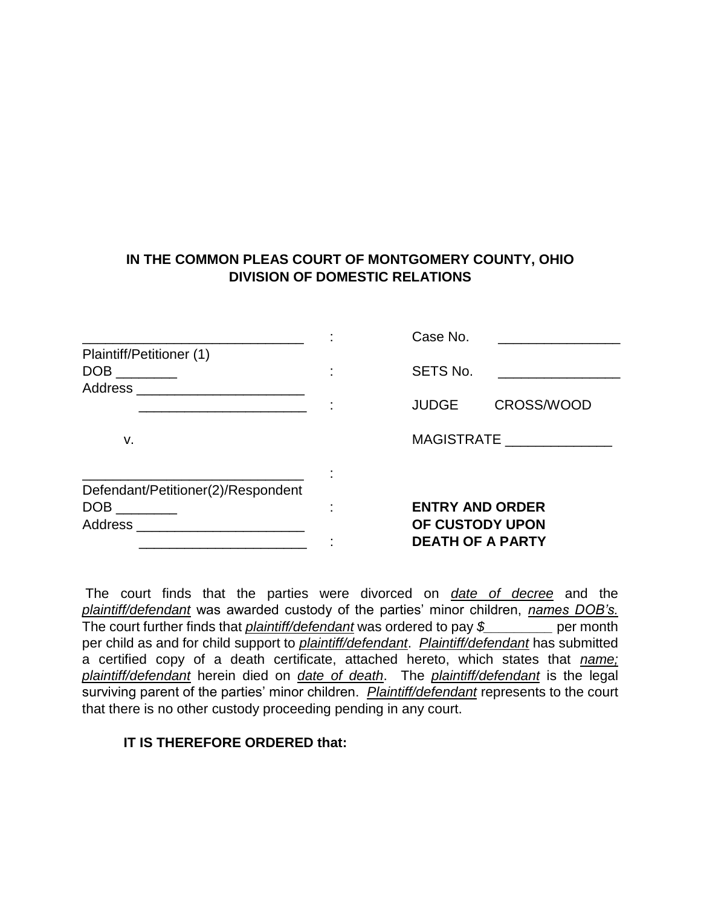## **IN THE COMMON PLEAS COURT OF MONTGOMERY COUNTY, OHIO DIVISION OF DOMESTIC RELATIONS**

|                                    |   | Case No.                                                             |            |
|------------------------------------|---|----------------------------------------------------------------------|------------|
| Plaintiff/Petitioner (1)           |   | SETS No.                                                             |            |
| Address_                           |   |                                                                      |            |
|                                    |   | <b>JUDGE</b>                                                         | CROSS/WOOD |
| v.                                 |   | <b>MAGISTRATE</b>                                                    |            |
|                                    |   |                                                                      |            |
| Defendant/Petitioner(2)/Respondent | ٠ |                                                                      |            |
|                                    |   | <b>ENTRY AND ORDER</b><br>OF CUSTODY UPON<br><b>DEATH OF A PARTY</b> |            |
| Address                            |   |                                                                      |            |
|                                    |   |                                                                      |            |

The court finds that the parties were divorced on *date of decree* and the *plaintiff/defendant* was awarded custody of the parties' minor children, *names DOB's.* The court further finds that *plaintiff/defendant* was ordered to pay *\$\_\_\_\_\_\_\_\_\_* per month per child as and for child support to *plaintiff/defendant*. *Plaintiff/defendant* has submitted a certified copy of a death certificate, attached hereto, which states that *name; plaintiff/defendant* herein died on *date of death*. The *plaintiff/defendant* is the legal surviving parent of the parties' minor children. *Plaintiff/defendant* represents to the court that there is no other custody proceeding pending in any court.

## **IT IS THEREFORE ORDERED that:**